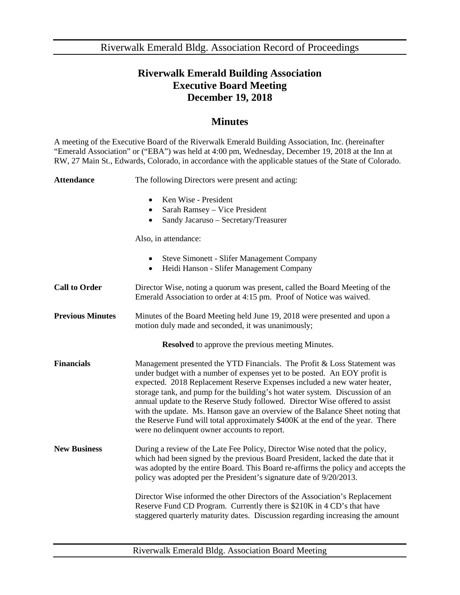Riverwalk Emerald Bldg. Association Record of Proceedings

## **Riverwalk Emerald Building Association Executive Board Meeting December 19, 2018**

## **Minutes**

A meeting of the Executive Board of the Riverwalk Emerald Building Association, Inc. (hereinafter "Emerald Association" or ("EBA") was held at 4:00 pm, Wednesday, December 19, 2018 at the Inn at RW, 27 Main St., Edwards, Colorado, in accordance with the applicable statues of the State of Colorado.

| <b>Attendance</b>                                        | The following Directors were present and acting:                                                                                                                                                                                                                                                                                                                                                                                                                                                                                                                                                                     |
|----------------------------------------------------------|----------------------------------------------------------------------------------------------------------------------------------------------------------------------------------------------------------------------------------------------------------------------------------------------------------------------------------------------------------------------------------------------------------------------------------------------------------------------------------------------------------------------------------------------------------------------------------------------------------------------|
|                                                          | Ken Wise - President<br>$\bullet$<br>Sarah Ramsey - Vice President<br>$\bullet$<br>Sandy Jacaruso - Secretary/Treasurer<br>$\bullet$                                                                                                                                                                                                                                                                                                                                                                                                                                                                                 |
|                                                          | Also, in attendance:                                                                                                                                                                                                                                                                                                                                                                                                                                                                                                                                                                                                 |
|                                                          | Steve Simonett - Slifer Management Company<br>$\bullet$<br>Heidi Hanson - Slifer Management Company<br>$\bullet$                                                                                                                                                                                                                                                                                                                                                                                                                                                                                                     |
| <b>Call to Order</b>                                     | Director Wise, noting a quorum was present, called the Board Meeting of the<br>Emerald Association to order at 4:15 pm. Proof of Notice was waived.                                                                                                                                                                                                                                                                                                                                                                                                                                                                  |
| <b>Previous Minutes</b>                                  | Minutes of the Board Meeting held June 19, 2018 were presented and upon a<br>motion duly made and seconded, it was unanimously;                                                                                                                                                                                                                                                                                                                                                                                                                                                                                      |
| <b>Resolved</b> to approve the previous meeting Minutes. |                                                                                                                                                                                                                                                                                                                                                                                                                                                                                                                                                                                                                      |
| <b>Financials</b>                                        | Management presented the YTD Financials. The Profit & Loss Statement was<br>under budget with a number of expenses yet to be posted. An EOY profit is<br>expected. 2018 Replacement Reserve Expenses included a new water heater,<br>storage tank, and pump for the building's hot water system. Discussion of an<br>annual update to the Reserve Study followed. Director Wise offered to assist<br>with the update. Ms. Hanson gave an overview of the Balance Sheet noting that<br>the Reserve Fund will total approximately \$400K at the end of the year. There<br>were no delinquent owner accounts to report. |
| <b>New Business</b>                                      | During a review of the Late Fee Policy, Director Wise noted that the policy,<br>which had been signed by the previous Board President, lacked the date that it<br>was adopted by the entire Board. This Board re-affirms the policy and accepts the<br>policy was adopted per the President's signature date of 9/20/2013.<br>Director Wise informed the other Directors of the Association's Replacement<br>Reserve Fund CD Program. Currently there is \$210K in 4 CD's that have<br>staggered quarterly maturity dates. Discussion regarding increasing the amount                                                |
|                                                          |                                                                                                                                                                                                                                                                                                                                                                                                                                                                                                                                                                                                                      |

Riverwalk Emerald Bldg. Association Board Meeting